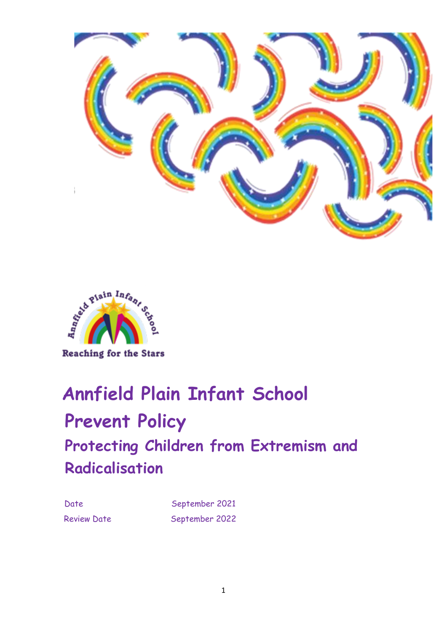



# **Annfield Plain Infant School Prevent Policy Protecting Children from Extremism and Radicalisation**

Date September 2021 Review Date September 2022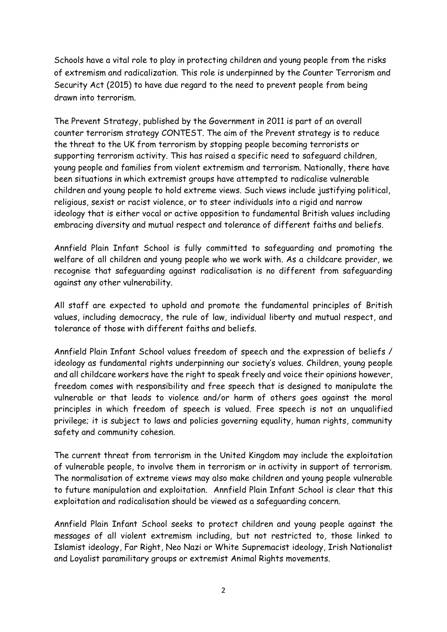Schools have a vital role to play in protecting children and young people from the risks of extremism and radicalization. This role is underpinned by the Counter Terrorism and Security Act (2015) to have due regard to the need to prevent people from being drawn into terrorism.

The Prevent Strategy, published by the Government in 2011 is part of an overall counter terrorism strategy CONTEST. The aim of the Prevent strategy is to reduce the threat to the UK from terrorism by stopping people becoming terrorists or supporting terrorism activity. This has raised a specific need to safeguard children, young people and families from violent extremism and terrorism. Nationally, there have been situations in which extremist groups have attempted to radicalise vulnerable children and young people to hold extreme views. Such views include justifying political, religious, sexist or racist violence, or to steer individuals into a rigid and narrow ideology that is either vocal or active opposition to fundamental British values including embracing diversity and mutual respect and tolerance of different faiths and beliefs.

Annfield Plain Infant School is fully committed to safeguarding and promoting the welfare of all children and young people who we work with. As a childcare provider, we recognise that safeguarding against radicalisation is no different from safeguarding against any other vulnerability.

All staff are expected to uphold and promote the fundamental principles of British values, including democracy, the rule of law, individual liberty and mutual respect, and tolerance of those with different faiths and beliefs.

Annfield Plain Infant School values freedom of speech and the expression of beliefs / ideology as fundamental rights underpinning our society's values. Children, young people and all childcare workers have the right to speak freely and voice their opinions however, freedom comes with responsibility and free speech that is designed to manipulate the vulnerable or that leads to violence and/or harm of others goes against the moral principles in which freedom of speech is valued. Free speech is not an unqualified privilege; it is subject to laws and policies governing equality, human rights, community safety and community cohesion.

The current threat from terrorism in the United Kingdom may include the exploitation of vulnerable people, to involve them in terrorism or in activity in support of terrorism. The normalisation of extreme views may also make children and young people vulnerable to future manipulation and exploitation. Annfield Plain Infant School is clear that this exploitation and radicalisation should be viewed as a safeguarding concern.

Annfield Plain Infant School seeks to protect children and young people against the messages of all violent extremism including, but not restricted to, those linked to Islamist ideology, Far Right, Neo Nazi or White Supremacist ideology, Irish Nationalist and Loyalist paramilitary groups or extremist Animal Rights movements.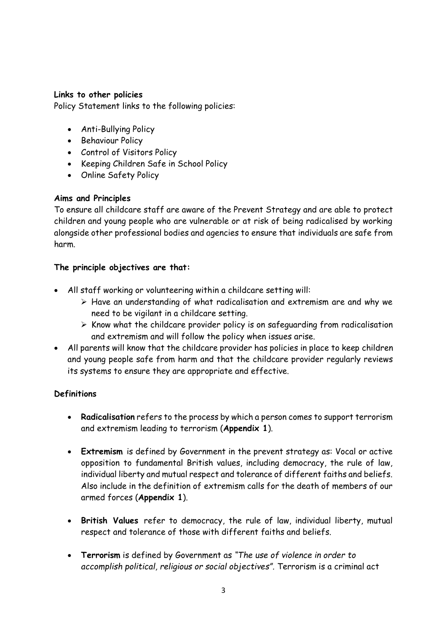## **Links to other policies**

Policy Statement links to the following policies:

- Anti-Bullying Policy
- Behaviour Policy
- Control of Visitors Policy
- Keeping Children Safe in School Policy
- Online Safety Policy

## **Aims and Principles**

To ensure all childcare staff are aware of the Prevent Strategy and are able to protect children and young people who are vulnerable or at risk of being radicalised by working alongside other professional bodies and agencies to ensure that individuals are safe from harm.

## **The principle objectives are that:**

- All staff working or volunteering within a childcare setting will:
	- ➢ Have an understanding of what radicalisation and extremism are and why we need to be vigilant in a childcare setting.
	- $\triangleright$  Know what the childcare provider policy is on safeguarding from radicalisation and extremism and will follow the policy when issues arise.
- All parents will know that the childcare provider has policies in place to keep children and young people safe from harm and that the childcare provider regularly reviews its systems to ensure they are appropriate and effective.

## **Definitions**

- **Radicalisation** refers to the process by which a person comes to support terrorism and extremism leading to terrorism (**Appendix 1**).
- **Extremism** is defined by Government in the prevent strategy as: Vocal or active opposition to fundamental British values, including democracy, the rule of law, individual liberty and mutual respect and tolerance of different faiths and beliefs. Also include in the definition of extremism calls for the death of members of our armed forces (**Appendix 1**).
- **British Values** refer to democracy, the rule of law, individual liberty, mutual respect and tolerance of those with different faiths and beliefs.
- **Terrorism** is defined by Government as *"The use of violence in order to accomplish political, religious or social objectives".* Terrorism is a criminal act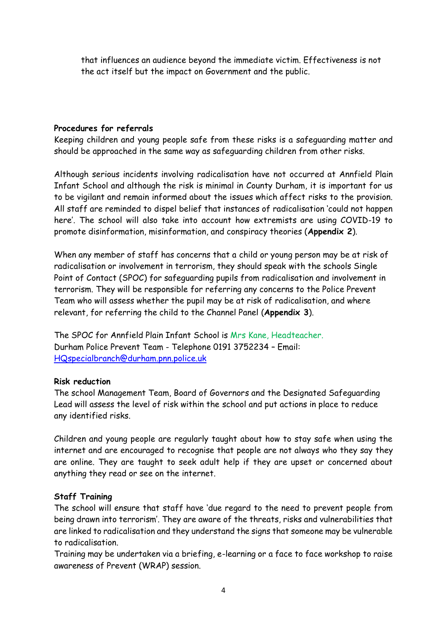that influences an audience beyond the immediate victim. Effectiveness is not the act itself but the impact on Government and the public.

#### **Procedures for referrals**

Keeping children and young people safe from these risks is a safeguarding matter and should be approached in the same way as safeguarding children from other risks.

Although serious incidents involving radicalisation have not occurred at Annfield Plain Infant School and although the risk is minimal in County Durham, it is important for us to be vigilant and remain informed about the issues which affect risks to the provision. All staff are reminded to dispel belief that instances of radicalisation 'could not happen here'. The school will also take into account how extremists are using COVID-19 to promote disinformation, misinformation, and conspiracy theories (**Appendix 2**).

When any member of staff has concerns that a child or young person may be at risk of radicalisation or involvement in terrorism, they should speak with the schools Single Point of Contact (SPOC) for safeguarding pupils from radicalisation and involvement in terrorism. They will be responsible for referring any concerns to the Police Prevent Team who will assess whether the pupil may be at risk of radicalisation, and where relevant, for referring the child to the Channel Panel (**Appendix 3**).

The SPOC for Annfield Plain Infant School is Mrs Kane, Headteacher. Durham Police Prevent Team - Telephone 0191 3752234 – Email: [HQspecialbranch@durham.pnn.police.uk](mailto:HQspecialbranch@durham.pnn.police.uk)

#### **Risk reduction**

The school Management Team, Board of Governors and the Designated Safeguarding Lead will assess the level of risk within the school and put actions in place to reduce any identified risks.

Children and young people are regularly taught about how to stay safe when using the internet and are encouraged to recognise that people are not always who they say they are online. They are taught to seek adult help if they are upset or concerned about anything they read or see on the internet.

### **Staff Training**

The school will ensure that staff have 'due regard to the need to prevent people from being drawn into terrorism'. They are aware of the threats, risks and vulnerabilities that are linked to radicalisation and they understand the signs that someone may be vulnerable to radicalisation.

Training may be undertaken via a briefing, e-learning or a face to face workshop to raise awareness of Prevent (WRAP) session.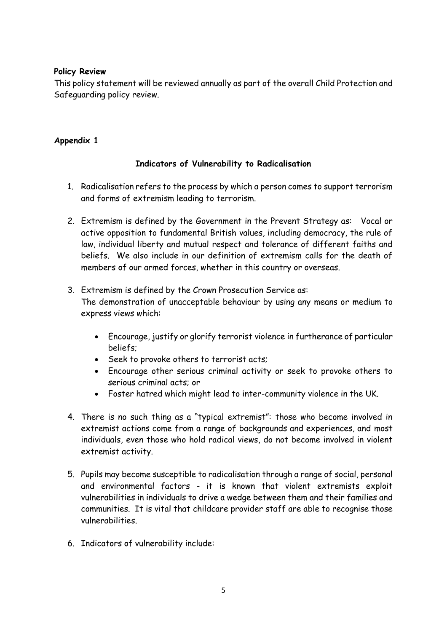### **Policy Review**

This policy statement will be reviewed annually as part of the overall Child Protection and Safeguarding policy review.

#### **Appendix 1**

### **Indicators of Vulnerability to Radicalisation**

- 1. Radicalisation refers to the process by which a person comes to support terrorism and forms of extremism leading to terrorism.
- 2. Extremism is defined by the Government in the Prevent Strategy as: Vocal or active opposition to fundamental British values, including democracy, the rule of law, individual liberty and mutual respect and tolerance of different faiths and beliefs. We also include in our definition of extremism calls for the death of members of our armed forces, whether in this country or overseas.
- 3. Extremism is defined by the Crown Prosecution Service as: The demonstration of unacceptable behaviour by using any means or medium to express views which:
	- Encourage, justify or glorify terrorist violence in furtherance of particular beliefs;
	- Seek to provoke others to terrorist acts;
	- Encourage other serious criminal activity or seek to provoke others to serious criminal acts; or
	- Foster hatred which might lead to inter-community violence in the UK.
- 4. There is no such thing as a "typical extremist": those who become involved in extremist actions come from a range of backgrounds and experiences, and most individuals, even those who hold radical views, do not become involved in violent extremist activity.
- 5. Pupils may become susceptible to radicalisation through a range of social, personal and environmental factors - it is known that violent extremists exploit vulnerabilities in individuals to drive a wedge between them and their families and communities. It is vital that childcare provider staff are able to recognise those vulnerabilities.
- 6. Indicators of vulnerability include: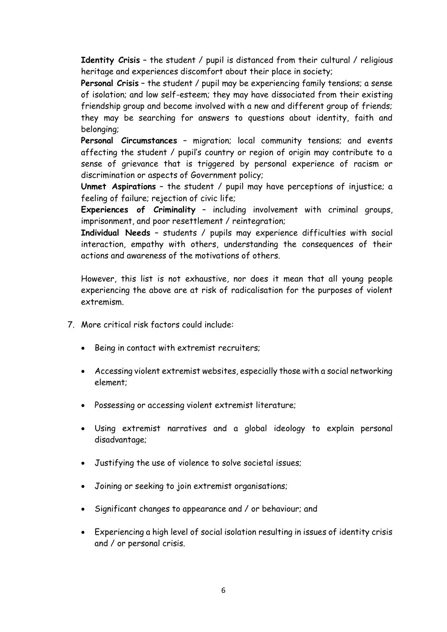**Identity Crisis** – the student / pupil is distanced from their cultural / religious heritage and experiences discomfort about their place in society;

**Personal Crisis** – the student / pupil may be experiencing family tensions; a sense of isolation; and low self-esteem; they may have dissociated from their existing friendship group and become involved with a new and different group of friends; they may be searching for answers to questions about identity, faith and belonging;

**Personal Circumstances** – migration; local community tensions; and events affecting the student / pupil's country or region of origin may contribute to a sense of grievance that is triggered by personal experience of racism or discrimination or aspects of Government policy;

**Unmet Aspirations** – the student / pupil may have perceptions of injustice; a feeling of failure; rejection of civic life;

**Experiences of Criminality** – including involvement with criminal groups, imprisonment, and poor resettlement / reintegration;

**Individual Needs** – students / pupils may experience difficulties with social interaction, empathy with others, understanding the consequences of their actions and awareness of the motivations of others.

However, this list is not exhaustive, nor does it mean that all young people experiencing the above are at risk of radicalisation for the purposes of violent extremism.

- 7. More critical risk factors could include:
	- Being in contact with extremist recruiters;
	- Accessing violent extremist websites, especially those with a social networking element;
	- Possessing or accessing violent extremist literature;
	- Using extremist narratives and a global ideology to explain personal disadvantage;
	- Justifying the use of violence to solve societal issues;
	- Joining or seeking to join extremist organisations;
	- Significant changes to appearance and / or behaviour; and
	- Experiencing a high level of social isolation resulting in issues of identity crisis and / or personal crisis.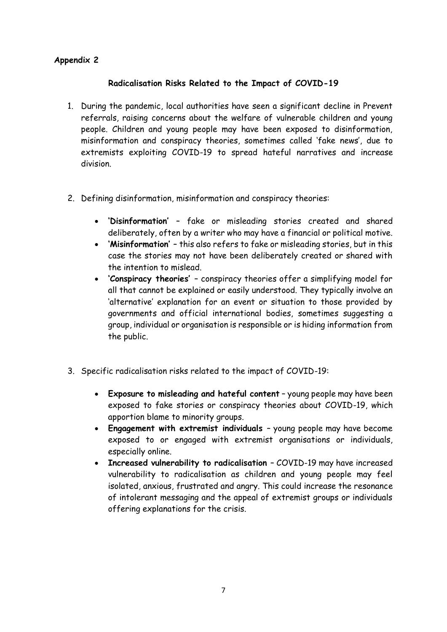## **Appendix 2**

## **Radicalisation Risks Related to the Impact of COVID-19**

- 1. During the pandemic, local authorities have seen a significant decline in Prevent referrals, raising concerns about the welfare of vulnerable children and young people. Children and young people may have been exposed to disinformation, misinformation and conspiracy theories, sometimes called 'fake news', due to extremists exploiting COVID-19 to spread hateful narratives and increase division.
- 2. Defining disinformation, misinformation and conspiracy theories:
	- **'Disinformation'** fake or misleading stories created and shared deliberately, often by a writer who may have a financial or political motive.
	- **'Misinformation'**  this also refers to fake or misleading stories, but in this case the stories may not have been deliberately created or shared with the intention to mislead.
	- **'Conspiracy theories'**  conspiracy theories offer a simplifying model for all that cannot be explained or easily understood. They typically involve an 'alternative' explanation for an event or situation to those provided by governments and official international bodies, sometimes suggesting a group, individual or organisation is responsible or is hiding information from the public.
- 3. Specific radicalisation risks related to the impact of COVID-19:
	- **Exposure to misleading and hateful content** young people may have been exposed to fake stories or conspiracy theories about COVID-19, which apportion blame to minority groups.
	- **Engagement with extremist individuals**  young people may have become exposed to or engaged with extremist organisations or individuals, especially online.
	- **Increased vulnerability to radicalisation**  COVID-19 may have increased vulnerability to radicalisation as children and young people may feel isolated, anxious, frustrated and angry. This could increase the resonance of intolerant messaging and the appeal of extremist groups or individuals offering explanations for the crisis.